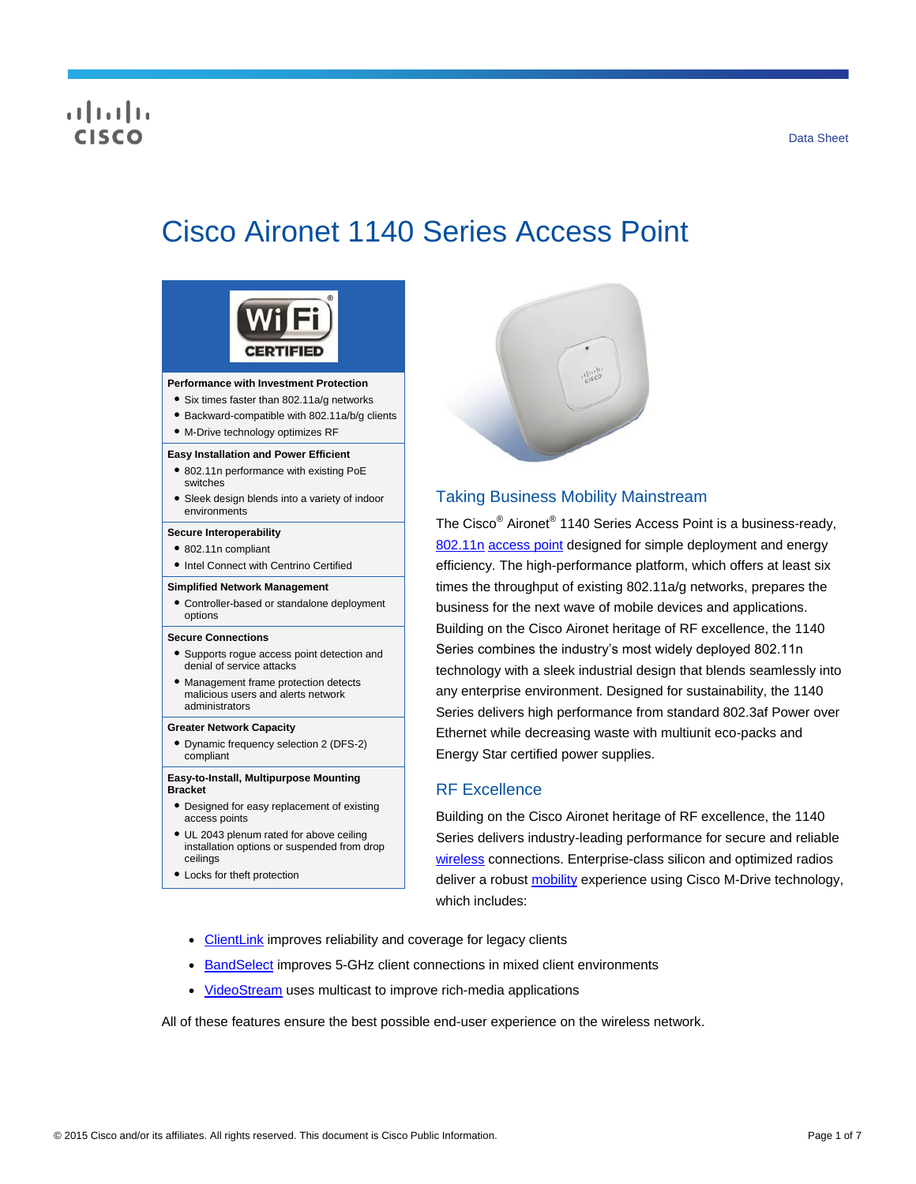## CISCO

# Cisco Aironet 1140 Series Access Point



#### **Performance with Investment Protection**

- Six times faster than 802.11a/g networks
- Backward-compatible with 802.11a/b/g clients
- M-Drive technology optimizes RF

#### **Easy Installation and Power Efficient**

- 802.11n performance with existing PoE switches
- Sleek design blends into a variety of indoor environments

#### **Secure Interoperability**

- 802.11n compliant
- Intel Connect with Centrino Certified

#### **Simplified Network Management**

● Controller-based or standalone deployment options

#### **Secure Connections**

- Supports rogue access point detection and denial of service attacks
- Management frame protection detects malicious users and alerts network administrators

#### **Greater Network Capacity**

● Dynamic frequency selection 2 (DFS-2) compliant

#### **Easy-to-Install, Multipurpose Mounting Bracket**

- Designed for easy replacement of existing access points
- UL 2043 plenum rated for above ceiling installation options or suspended from drop ceilings
- Locks for theft protection



## Taking Business Mobility Mainstream

The Cisco<sup>®</sup> Aironet<sup>®</sup> 1140 Series Access Point is a business-ready, [802.11n](http://www.cisco.com/en/US/netsol/ns767/networking_solutions_package.html) [access point](http://www.cisco.com/en/US/products/ps5678/Products_Sub_Category_Home.html) designed for simple deployment and energy efficiency. The high-performance platform, which offers at least six times the throughput of existing 802.11a/g networks, prepares the business for the next wave of mobile devices and applications. Building on the Cisco Aironet heritage of RF excellence, the 1140 Series combines the industry's most widely deployed 802.11n technology with a sleek industrial design that blends seamlessly into any enterprise environment. Designed for sustainability, the 1140 Series delivers high performance from standard 802.3af Power over Ethernet while decreasing waste with multiunit eco-packs and Energy Star certified power supplies.

#### RF Excellence

Building on the Cisco Aironet heritage of RF excellence, the 1140 Series delivers industry-leading performance for secure and reliable [wireless](http://www.cisco.com/en/US/products/hw/wireless/index.html) connections. Enterprise-class silicon and optimized radios deliver a robust **mobility** experience using Cisco M-Drive technology, which includes:

- [ClientLink](http://www.cisco.com/en/US/prod/collateral/wireless/ps5678/ps10092/white_paper_c11-516389_ps6973_Products_White_Paper.html) improves reliability and coverage for legacy clients
- [BandSelect](http://tools.cisco.com/search/display?url=http%3A%2F%2Fwww.cisco.com%2Fen%2FUS%2Fsolutions%2Fcollateral%2Fns340%2Fns394%2Fns348%2Fns767%2Fratification_checklist_brochure_c11-557441.pdf&pos=3&strqueryid=&websessionid=5BOoKz2Ehg3v5ZxCTF_lc55) improves 5-GHz client connections in mixed client environments
- [VideoStream](http://www.cisco.com/en/US/prod/collateral/wireless/ps6302/ps8322/ps10315/ps10325/white_paper_c11-577721.html) uses multicast to improve rich-media applications

All of these features ensure the best possible end-user experience on the wireless network.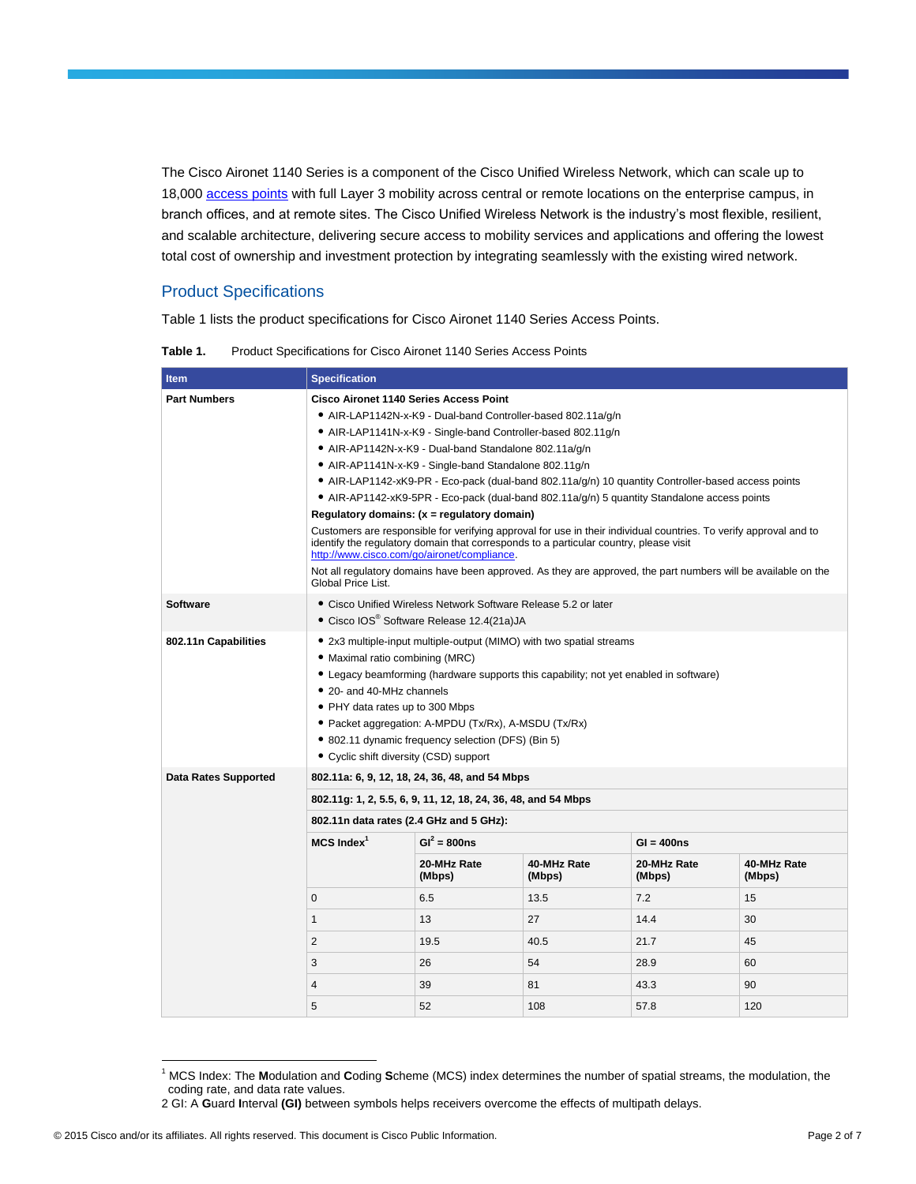The Cisco Aironet 1140 Series is a component of the Cisco Unified Wireless Network, which can scale up to 18,000 [access points](http://www.cisco.com/en/US/products/ps5678/Products_Sub_Category_Home.html) with full Layer 3 mobility across central or remote locations on the enterprise campus, in branch offices, and at remote sites. The Cisco Unified Wireless Network is the industry's most flexible, resilient, and scalable architecture, delivering secure access to mobility services and applications and offering the lowest total cost of ownership and investment protection by integrating seamlessly with the existing wired network.

## Product Specifications

Table 1 lists the product specifications for Cisco Aironet 1140 Series Access Points.

Table 1. Product Specifications for Cisco Aironet 1140 Series Access Points

| <b>Item</b>                 | <b>Specification</b>                                                                                                                                                                                                                                                                                                                                                                                                     |                       |                       |                       |                       |  |
|-----------------------------|--------------------------------------------------------------------------------------------------------------------------------------------------------------------------------------------------------------------------------------------------------------------------------------------------------------------------------------------------------------------------------------------------------------------------|-----------------------|-----------------------|-----------------------|-----------------------|--|
| <b>Part Numbers</b>         | <b>Cisco Aironet 1140 Series Access Point</b>                                                                                                                                                                                                                                                                                                                                                                            |                       |                       |                       |                       |  |
|                             | • AIR-LAP1142N-x-K9 - Dual-band Controller-based 802.11a/q/n                                                                                                                                                                                                                                                                                                                                                             |                       |                       |                       |                       |  |
|                             | • AIR-LAP1141N-x-K9 - Single-band Controller-based 802.11g/n                                                                                                                                                                                                                                                                                                                                                             |                       |                       |                       |                       |  |
|                             | • AIR-AP1142N-x-K9 - Dual-band Standalone 802.11a/q/n                                                                                                                                                                                                                                                                                                                                                                    |                       |                       |                       |                       |  |
|                             | • AIR-AP1141N-x-K9 - Single-band Standalone 802.11g/n                                                                                                                                                                                                                                                                                                                                                                    |                       |                       |                       |                       |  |
|                             | • AIR-LAP1142-xK9-PR - Eco-pack (dual-band 802.11a/g/n) 10 quantity Controller-based access points                                                                                                                                                                                                                                                                                                                       |                       |                       |                       |                       |  |
|                             | • AIR-AP1142-xK9-5PR - Eco-pack (dual-band 802.11a/g/n) 5 quantity Standalone access points                                                                                                                                                                                                                                                                                                                              |                       |                       |                       |                       |  |
|                             | Regulatory domains: (x = regulatory domain)                                                                                                                                                                                                                                                                                                                                                                              |                       |                       |                       |                       |  |
|                             | Customers are responsible for verifying approval for use in their individual countries. To verify approval and to<br>identify the regulatory domain that corresponds to a particular country, please visit<br>http://www.cisco.com/go/aironet/compliance.                                                                                                                                                                |                       |                       |                       |                       |  |
|                             | Not all regulatory domains have been approved. As they are approved, the part numbers will be available on the<br>Global Price List.                                                                                                                                                                                                                                                                                     |                       |                       |                       |                       |  |
| <b>Software</b>             | • Cisco Unified Wireless Network Software Release 5.2 or later<br>• Cisco IOS® Software Release 12.4(21a)JA                                                                                                                                                                                                                                                                                                              |                       |                       |                       |                       |  |
| 802.11n Capabilities        | • 2x3 multiple-input multiple-output (MIMO) with two spatial streams<br>• Maximal ratio combining (MRC)<br>• Legacy beamforming (hardware supports this capability; not yet enabled in software)<br>• 20- and 40-MHz channels<br>• PHY data rates up to 300 Mbps<br>• Packet aggregation: A-MPDU (Tx/Rx), A-MSDU (Tx/Rx)<br>• 802.11 dynamic frequency selection (DFS) (Bin 5)<br>• Cyclic shift diversity (CSD) support |                       |                       |                       |                       |  |
| <b>Data Rates Supported</b> | 802.11a: 6, 9, 12, 18, 24, 36, 48, and 54 Mbps                                                                                                                                                                                                                                                                                                                                                                           |                       |                       |                       |                       |  |
|                             | 802.11g: 1, 2, 5.5, 6, 9, 11, 12, 18, 24, 36, 48, and 54 Mbps                                                                                                                                                                                                                                                                                                                                                            |                       |                       |                       |                       |  |
|                             | 802.11n data rates (2.4 GHz and 5 GHz):                                                                                                                                                                                                                                                                                                                                                                                  |                       |                       |                       |                       |  |
|                             | $MCS$ Index <sup>1</sup>                                                                                                                                                                                                                                                                                                                                                                                                 | $GI^2 = 800ns$        |                       | $GI = 400ns$          |                       |  |
|                             |                                                                                                                                                                                                                                                                                                                                                                                                                          | 20-MHz Rate<br>(Mbps) | 40-MHz Rate<br>(Mbps) | 20-MHz Rate<br>(Mbps) | 40-MHz Rate<br>(Mbps) |  |
|                             | $\mathbf{0}$                                                                                                                                                                                                                                                                                                                                                                                                             | 6.5                   | 13.5                  | 7.2                   | 15                    |  |
|                             | 1                                                                                                                                                                                                                                                                                                                                                                                                                        | 13                    | 27                    | 14.4                  | 30                    |  |
|                             | 2                                                                                                                                                                                                                                                                                                                                                                                                                        | 19.5                  | 40.5                  | 21.7                  | 45                    |  |
|                             | 3                                                                                                                                                                                                                                                                                                                                                                                                                        | 26                    | 54                    | 28.9                  | 60                    |  |
|                             | $\overline{4}$                                                                                                                                                                                                                                                                                                                                                                                                           | 39                    | 81                    | 43.3                  | 90                    |  |
|                             | 5                                                                                                                                                                                                                                                                                                                                                                                                                        | 52                    | 108                   | 57.8                  | 120                   |  |

<sup>1</sup> MCS Index: The **M**odulation and **C**oding **S**cheme (MCS) index determines the number of spatial streams, the modulation, the coding rate, and data rate values.

 $\overline{a}$ 

<sup>2</sup> GI: A **G**uard **I**nterval **(GI)** between symbols helps receivers overcome the effects of multipath delays.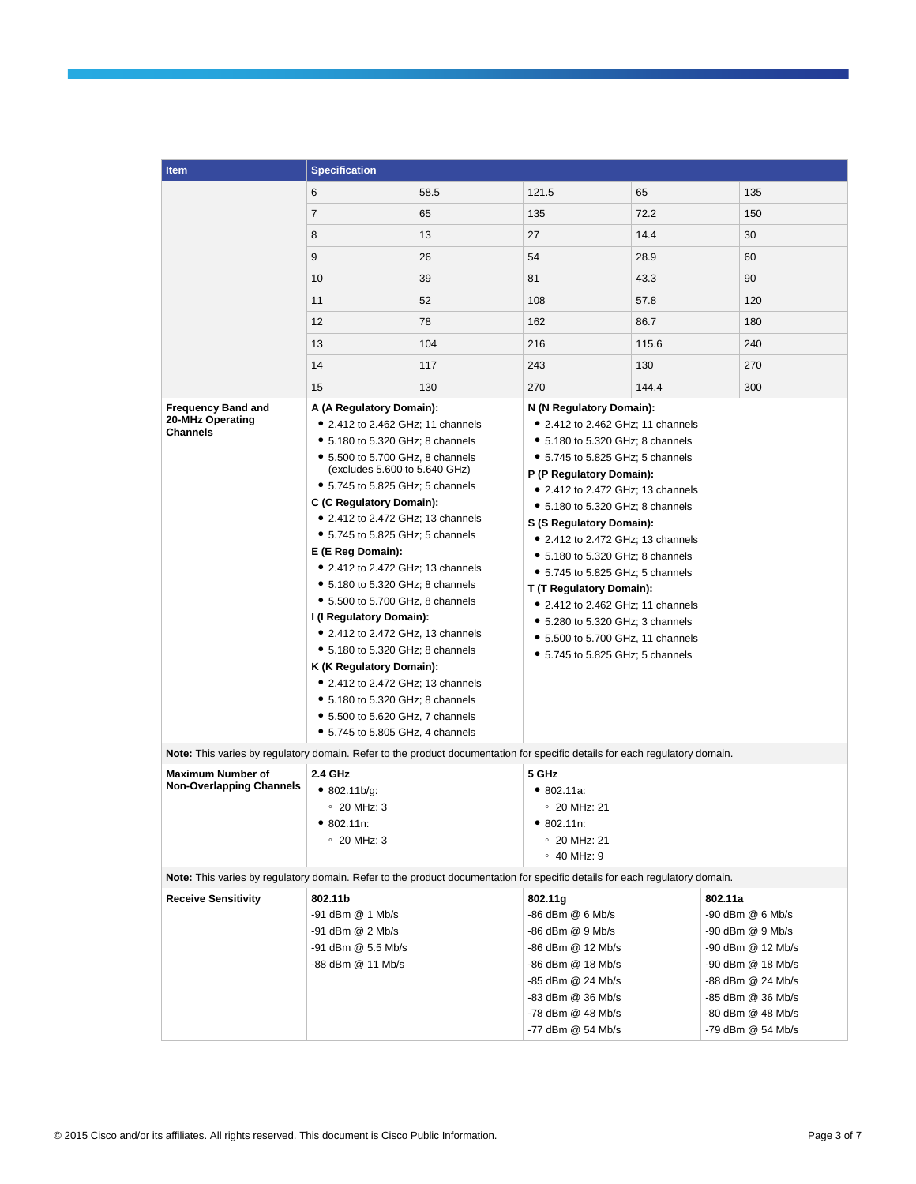| <b>Item</b>                                                                                                                 | <b>Specification</b>                                                                                                                                                                                                                                                                                                                                                                                                                                                                                                                                                                                                                                                                            |      |                                                                                                                                                                                                                                                                                                                                                                                                                                                                                                                                                                   |       |                                                                                                                                        |
|-----------------------------------------------------------------------------------------------------------------------------|-------------------------------------------------------------------------------------------------------------------------------------------------------------------------------------------------------------------------------------------------------------------------------------------------------------------------------------------------------------------------------------------------------------------------------------------------------------------------------------------------------------------------------------------------------------------------------------------------------------------------------------------------------------------------------------------------|------|-------------------------------------------------------------------------------------------------------------------------------------------------------------------------------------------------------------------------------------------------------------------------------------------------------------------------------------------------------------------------------------------------------------------------------------------------------------------------------------------------------------------------------------------------------------------|-------|----------------------------------------------------------------------------------------------------------------------------------------|
|                                                                                                                             | 6                                                                                                                                                                                                                                                                                                                                                                                                                                                                                                                                                                                                                                                                                               | 58.5 | 121.5                                                                                                                                                                                                                                                                                                                                                                                                                                                                                                                                                             | 65    | 135                                                                                                                                    |
|                                                                                                                             | 7                                                                                                                                                                                                                                                                                                                                                                                                                                                                                                                                                                                                                                                                                               | 65   | 135                                                                                                                                                                                                                                                                                                                                                                                                                                                                                                                                                               | 72.2  | 150                                                                                                                                    |
|                                                                                                                             | 8                                                                                                                                                                                                                                                                                                                                                                                                                                                                                                                                                                                                                                                                                               | 13   | 27                                                                                                                                                                                                                                                                                                                                                                                                                                                                                                                                                                | 14.4  | 30                                                                                                                                     |
|                                                                                                                             | 9                                                                                                                                                                                                                                                                                                                                                                                                                                                                                                                                                                                                                                                                                               | 26   | 54                                                                                                                                                                                                                                                                                                                                                                                                                                                                                                                                                                | 28.9  | 60                                                                                                                                     |
|                                                                                                                             | 10                                                                                                                                                                                                                                                                                                                                                                                                                                                                                                                                                                                                                                                                                              | 39   | 81                                                                                                                                                                                                                                                                                                                                                                                                                                                                                                                                                                | 43.3  | 90                                                                                                                                     |
|                                                                                                                             | 11                                                                                                                                                                                                                                                                                                                                                                                                                                                                                                                                                                                                                                                                                              | 52   | 108                                                                                                                                                                                                                                                                                                                                                                                                                                                                                                                                                               | 57.8  | 120                                                                                                                                    |
|                                                                                                                             | 12                                                                                                                                                                                                                                                                                                                                                                                                                                                                                                                                                                                                                                                                                              | 78   | 162                                                                                                                                                                                                                                                                                                                                                                                                                                                                                                                                                               | 86.7  | 180                                                                                                                                    |
|                                                                                                                             | 13                                                                                                                                                                                                                                                                                                                                                                                                                                                                                                                                                                                                                                                                                              | 104  | 216                                                                                                                                                                                                                                                                                                                                                                                                                                                                                                                                                               | 115.6 | 240                                                                                                                                    |
|                                                                                                                             |                                                                                                                                                                                                                                                                                                                                                                                                                                                                                                                                                                                                                                                                                                 |      |                                                                                                                                                                                                                                                                                                                                                                                                                                                                                                                                                                   |       |                                                                                                                                        |
|                                                                                                                             | 14                                                                                                                                                                                                                                                                                                                                                                                                                                                                                                                                                                                                                                                                                              | 117  | 243                                                                                                                                                                                                                                                                                                                                                                                                                                                                                                                                                               | 130   | 270                                                                                                                                    |
|                                                                                                                             | 15                                                                                                                                                                                                                                                                                                                                                                                                                                                                                                                                                                                                                                                                                              | 130  | 270                                                                                                                                                                                                                                                                                                                                                                                                                                                                                                                                                               | 144.4 | 300                                                                                                                                    |
| <b>Frequency Band and</b><br>20-MHz Operating<br><b>Channels</b>                                                            | A (A Regulatory Domain):<br>• 2.412 to 2.462 GHz; 11 channels<br>• 5.180 to 5.320 GHz; 8 channels<br>• 5.500 to 5.700 GHz, 8 channels<br>(excludes 5.600 to 5.640 GHz)<br>• 5.745 to 5.825 GHz; 5 channels<br>C (C Regulatory Domain):<br>• 2.412 to 2.472 GHz; 13 channels<br>• 5.745 to 5.825 GHz; 5 channels<br>E (E Reg Domain):<br>• 2.412 to 2.472 GHz; 13 channels<br>• 5.180 to 5.320 GHz; 8 channels<br>• 5.500 to 5.700 GHz, 8 channels<br>I (I Regulatory Domain):<br>• 2.412 to 2.472 GHz, 13 channels<br>• 5.180 to 5.320 GHz; 8 channels<br>K (K Regulatory Domain):<br>• 2.412 to 2.472 GHz; 13 channels<br>• 5.180 to 5.320 GHz; 8 channels<br>• 5.500 to 5.620 GHz, 7 channels |      | N (N Regulatory Domain):<br>• 2.412 to 2.462 GHz; 11 channels<br>• 5.180 to 5.320 GHz; 8 channels<br>• 5.745 to 5.825 GHz; 5 channels<br>P (P Regulatory Domain):<br>• 2.412 to 2.472 GHz; 13 channels<br>• 5.180 to 5.320 GHz; 8 channels<br>S (S Regulatory Domain):<br>• 2.412 to 2.472 GHz; 13 channels<br>• 5.180 to 5.320 GHz; 8 channels<br>• 5.745 to 5.825 GHz; 5 channels<br>T (T Regulatory Domain):<br>• 2.412 to 2.462 GHz; 11 channels<br>• 5.280 to 5.320 GHz; 3 channels<br>• 5.500 to 5.700 GHz, 11 channels<br>• 5.745 to 5.825 GHz; 5 channels |       |                                                                                                                                        |
| Note: This varies by regulatory domain. Refer to the product documentation for specific details for each regulatory domain. | • 5.745 to 5.805 GHz, 4 channels                                                                                                                                                                                                                                                                                                                                                                                                                                                                                                                                                                                                                                                                |      |                                                                                                                                                                                                                                                                                                                                                                                                                                                                                                                                                                   |       |                                                                                                                                        |
| <b>Maximum Number of</b><br><b>Non-Overlapping Channels</b>                                                                 | 2.4 GHz<br>5 GHz<br>• 802.11b/q:<br>• 802.11a.<br>$\degree$ 20 MHz: 3<br>$\degree$ 20 MHz: 21<br>• 802.11n:<br>• 802.11n:<br>$\degree$ 20 MHz: 3<br>$\degree$ 20 MHz: 21<br>$\circ$ 40 MHz: 9                                                                                                                                                                                                                                                                                                                                                                                                                                                                                                   |      |                                                                                                                                                                                                                                                                                                                                                                                                                                                                                                                                                                   |       |                                                                                                                                        |
| Note: This varies by regulatory domain. Refer to the product documentation for specific details for each regulatory domain. |                                                                                                                                                                                                                                                                                                                                                                                                                                                                                                                                                                                                                                                                                                 |      |                                                                                                                                                                                                                                                                                                                                                                                                                                                                                                                                                                   |       |                                                                                                                                        |
| <b>Receive Sensitivity</b>                                                                                                  | 802.11b<br>-91 dBm @ 1 Mb/s<br>-91 dBm @ 2 Mb/s<br>-91 dBm @ 5.5 Mb/s<br>-88 dBm @ 11 Mb/s                                                                                                                                                                                                                                                                                                                                                                                                                                                                                                                                                                                                      |      | 802.11g<br>-86 dBm @ 6 Mb/s<br>-86 dBm @ 9 Mb/s<br>-86 dBm @ 12 Mb/s<br>-86 dBm @ 18 Mb/s<br>-85 dBm @ 24 Mb/s<br>-83 dBm @ 36 Mb/s                                                                                                                                                                                                                                                                                                                                                                                                                               |       | 802.11a<br>$-90$ dBm $@6$ Mb/s<br>-90 dBm @ 9 Mb/s<br>-90 dBm @ 12 Mb/s<br>-90 dBm @ 18 Mb/s<br>-88 dBm @ 24 Mb/s<br>-85 dBm @ 36 Mb/s |
|                                                                                                                             |                                                                                                                                                                                                                                                                                                                                                                                                                                                                                                                                                                                                                                                                                                 |      | -78 dBm @ 48 Mb/s<br>-77 dBm @ 54 Mb/s                                                                                                                                                                                                                                                                                                                                                                                                                                                                                                                            |       | -80 dBm @ 48 Mb/s<br>-79 dBm @ 54 Mb/s                                                                                                 |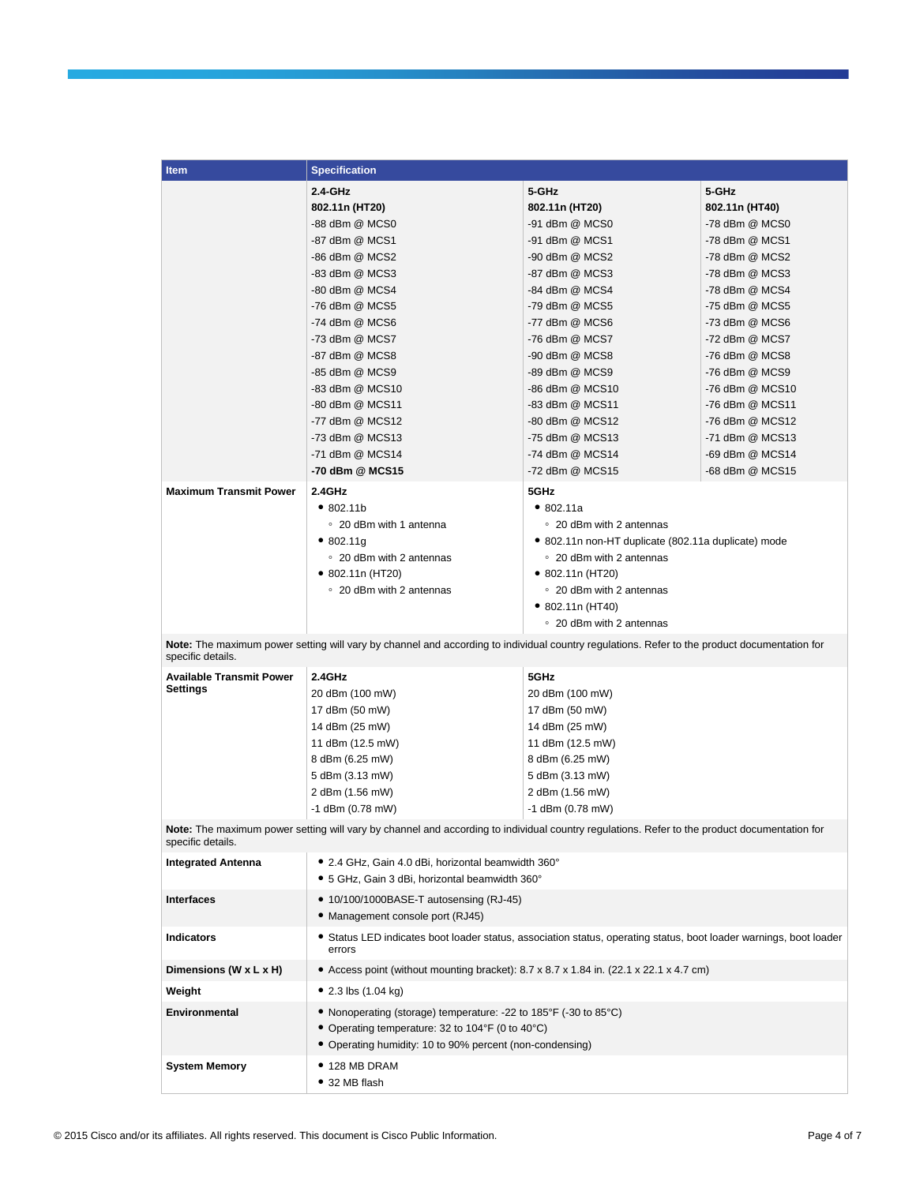| <b>Item</b>                                                                                                                                                       | <b>Specification</b>                                                                                                                         |                                                      |                 |  |
|-------------------------------------------------------------------------------------------------------------------------------------------------------------------|----------------------------------------------------------------------------------------------------------------------------------------------|------------------------------------------------------|-----------------|--|
|                                                                                                                                                                   | $2.4 - GHz$                                                                                                                                  | 5-GHz                                                | 5-GHz           |  |
|                                                                                                                                                                   | 802.11n (HT20)                                                                                                                               | 802.11n (HT20)                                       | 802.11n (HT40)  |  |
|                                                                                                                                                                   | -88 dBm @ MCS0                                                                                                                               | -91 dBm @ MCS0                                       | -78 dBm @ MCS0  |  |
|                                                                                                                                                                   | -87 dBm @ MCS1                                                                                                                               | -91 dBm @ MCS1                                       | -78 dBm @ MCS1  |  |
|                                                                                                                                                                   | -86 dBm @ MCS2                                                                                                                               | -90 dBm @ MCS2                                       | -78 dBm @ MCS2  |  |
|                                                                                                                                                                   | -83 dBm @ MCS3                                                                                                                               | -87 dBm @ MCS3                                       | -78 dBm @ MCS3  |  |
|                                                                                                                                                                   | -80 dBm @ MCS4                                                                                                                               | -84 dBm @ MCS4                                       | -78 dBm @ MCS4  |  |
|                                                                                                                                                                   | -76 dBm @ MCS5                                                                                                                               | -79 dBm @ MCS5                                       | -75 dBm @ MCS5  |  |
|                                                                                                                                                                   | -74 dBm @ MCS6                                                                                                                               | -77 dBm @ MCS6                                       | -73 dBm @ MCS6  |  |
|                                                                                                                                                                   | -73 dBm @ MCS7                                                                                                                               | -76 dBm @ MCS7                                       | -72 dBm @ MCS7  |  |
|                                                                                                                                                                   | -87 dBm @ MCS8                                                                                                                               | -90 dBm @ MCS8                                       | -76 dBm @ MCS8  |  |
|                                                                                                                                                                   | -85 dBm @ MCS9                                                                                                                               | -89 dBm @ MCS9                                       | -76 dBm @ MCS9  |  |
|                                                                                                                                                                   | -83 dBm @ MCS10                                                                                                                              | -86 dBm @ MCS10                                      | -76 dBm @ MCS10 |  |
|                                                                                                                                                                   | -80 dBm @ MCS11                                                                                                                              | -83 dBm @ MCS11                                      | -76 dBm @ MCS11 |  |
|                                                                                                                                                                   | -77 dBm @ MCS12                                                                                                                              | -80 dBm @ MCS12                                      | -76 dBm @ MCS12 |  |
|                                                                                                                                                                   | -73 dBm @ MCS13                                                                                                                              | -75 dBm @ MCS13                                      | -71 dBm @ MCS13 |  |
|                                                                                                                                                                   | -71 dBm @ MCS14                                                                                                                              | -74 dBm @ MCS14                                      | -69 dBm @ MCS14 |  |
|                                                                                                                                                                   | -70 dBm @ MCS15                                                                                                                              | -72 dBm @ MCS15                                      | -68 dBm @ MCS15 |  |
| <b>Maximum Transmit Power</b>                                                                                                                                     | 2.4GHz                                                                                                                                       | 5GHz                                                 |                 |  |
|                                                                                                                                                                   | • 802.11 <sub>b</sub>                                                                                                                        | •802.11a                                             |                 |  |
|                                                                                                                                                                   | ○ 20 dBm with 1 antenna                                                                                                                      | ○ 20 dBm with 2 antennas                             |                 |  |
|                                                                                                                                                                   | •802.11q                                                                                                                                     | • 802.11n non-HT duplicate (802.11a duplicate) mode  |                 |  |
|                                                                                                                                                                   | ○ 20 dBm with 2 antennas                                                                                                                     | ○ 20 dBm with 2 antennas                             |                 |  |
|                                                                                                                                                                   | • 802.11n (HT20)                                                                                                                             | $\bullet$ 802.11n (HT20)                             |                 |  |
|                                                                                                                                                                   | ○ 20 dBm with 2 antennas                                                                                                                     | ○ 20 dBm with 2 antennas<br>$\bullet$ 802.11n (HT40) |                 |  |
|                                                                                                                                                                   |                                                                                                                                              | ○ 20 dBm with 2 antennas                             |                 |  |
| specific details.                                                                                                                                                 | Note: The maximum power setting will vary by channel and according to individual country regulations. Refer to the product documentation for |                                                      |                 |  |
| <b>Available Transmit Power</b>                                                                                                                                   | 2.4GHz                                                                                                                                       | 5GHz                                                 |                 |  |
| Settings                                                                                                                                                          | 20 dBm (100 mW)                                                                                                                              | 20 dBm (100 mW)                                      |                 |  |
|                                                                                                                                                                   | 17 dBm (50 mW)                                                                                                                               | 17 dBm (50 mW)                                       |                 |  |
|                                                                                                                                                                   | 14 dBm (25 mW)                                                                                                                               | 14 dBm (25 mW)                                       |                 |  |
|                                                                                                                                                                   | 11 dBm (12.5 mW)                                                                                                                             | 11 dBm (12.5 mW)                                     |                 |  |
|                                                                                                                                                                   | 8 dBm (6.25 mW)                                                                                                                              | 8 dBm (6.25 mW)                                      |                 |  |
|                                                                                                                                                                   | 5 dBm (3.13 mW)                                                                                                                              | 5 dBm (3.13 mW)                                      |                 |  |
|                                                                                                                                                                   | 2 dBm (1.56 mW)                                                                                                                              | 2 dBm (1.56 mW)                                      |                 |  |
|                                                                                                                                                                   | -1 dBm (0.78 mW)                                                                                                                             | -1 dBm (0.78 mW)                                     |                 |  |
| Note: The maximum power setting will vary by channel and according to individual country regulations. Refer to the product documentation for<br>specific details. |                                                                                                                                              |                                                      |                 |  |
| <b>Integrated Antenna</b>                                                                                                                                         | • 2.4 GHz, Gain 4.0 dBi, horizontal beamwidth 360°<br>• 5 GHz, Gain 3 dBi, horizontal beamwidth 360°                                         |                                                      |                 |  |
| <b>Interfaces</b>                                                                                                                                                 | • 10/100/1000BASE-T autosensing (RJ-45)<br>• Management console port (RJ45)                                                                  |                                                      |                 |  |
| <b>Indicators</b>                                                                                                                                                 | • Status LED indicates boot loader status, association status, operating status, boot loader warnings, boot loader<br>errors                 |                                                      |                 |  |
| Dimensions (W x L x H)                                                                                                                                            | • Access point (without mounting bracket): $8.7 \times 8.7 \times 1.84$ in. (22.1 $\times$ 22.1 $\times$ 4.7 cm)                             |                                                      |                 |  |
| Weight                                                                                                                                                            | $\bullet$ 2.3 lbs (1.04 kg)                                                                                                                  |                                                      |                 |  |
| Environmental                                                                                                                                                     | • Nonoperating (storage) temperature: -22 to 185°F (-30 to 85°C)                                                                             |                                                      |                 |  |
|                                                                                                                                                                   | • Operating temperature: 32 to 104°F (0 to 40°C)<br>• Operating humidity: 10 to 90% percent (non-condensing)                                 |                                                      |                 |  |
| <b>System Memory</b>                                                                                                                                              | $\bullet$ 128 MB DRAM                                                                                                                        |                                                      |                 |  |
|                                                                                                                                                                   | ● 32 MB flash                                                                                                                                |                                                      |                 |  |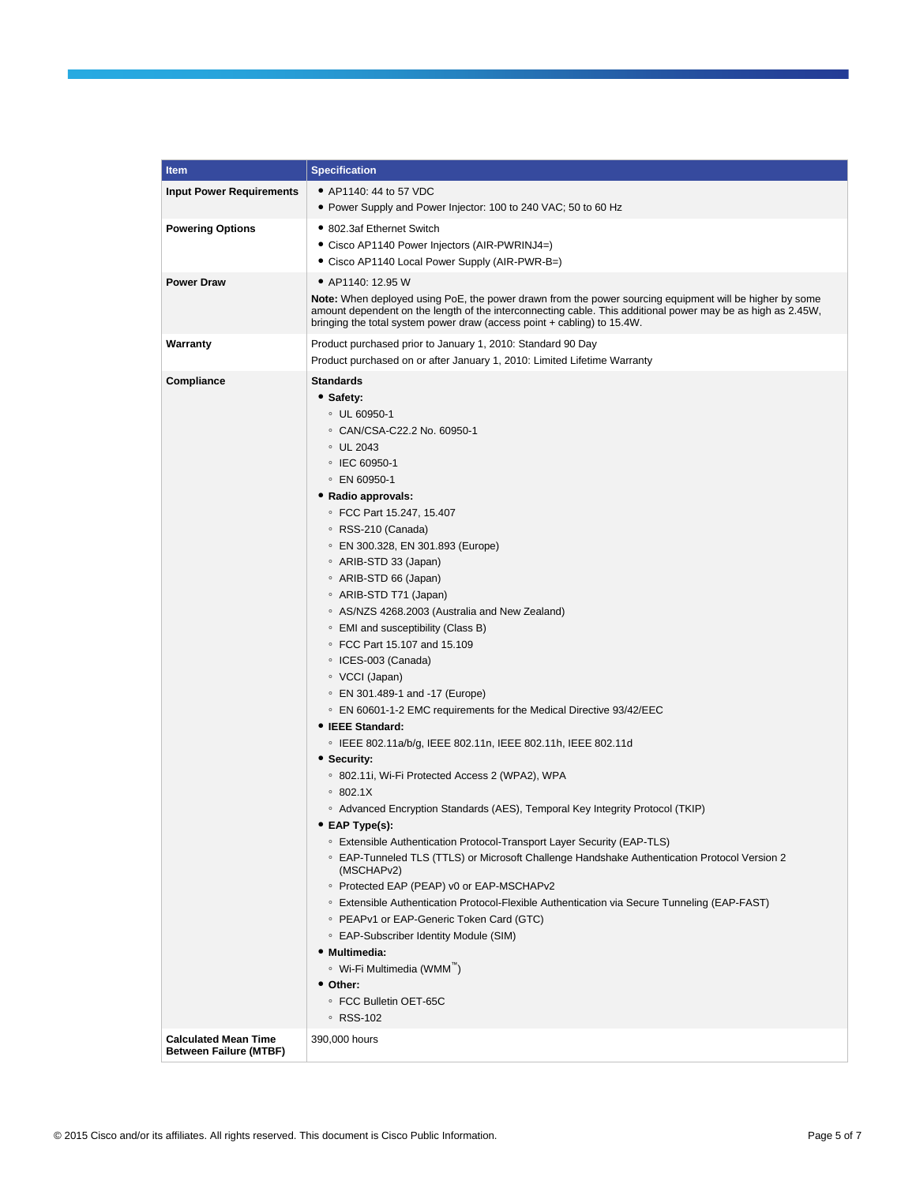| Item                                                         | <b>Specification</b>                                                                                           |
|--------------------------------------------------------------|----------------------------------------------------------------------------------------------------------------|
| <b>Input Power Requirements</b>                              | • AP1140: 44 to 57 VDC                                                                                         |
|                                                              | • Power Supply and Power Injector: 100 to 240 VAC; 50 to 60 Hz                                                 |
| <b>Powering Options</b>                                      | • 802.3af Ethernet Switch                                                                                      |
|                                                              | Cisco AP1140 Power Injectors (AIR-PWRINJ4=)                                                                    |
|                                                              | • Cisco AP1140 Local Power Supply (AIR-PWR-B=)                                                                 |
| <b>Power Draw</b>                                            | • AP1140: 12.95 W                                                                                              |
|                                                              | <b>Note:</b> When deployed using PoE, the power drawn from the power sourcing equipment will be higher by some |
|                                                              | amount dependent on the length of the interconnecting cable. This additional power may be as high as 2.45W,    |
|                                                              | bringing the total system power draw (access point + cabling) to 15.4W.                                        |
| Warranty                                                     | Product purchased prior to January 1, 2010: Standard 90 Day                                                    |
|                                                              | Product purchased on or after January 1, 2010: Limited Lifetime Warranty                                       |
| Compliance                                                   | Standards                                                                                                      |
|                                                              | • Safety:                                                                                                      |
|                                                              | ○ UL 60950-1                                                                                                   |
|                                                              | ○ CAN/CSA-C22.2 No. 60950-1                                                                                    |
|                                                              | $\circ$ UL 2043                                                                                                |
|                                                              | ○ IEC 60950-1                                                                                                  |
|                                                              | $\circ$ EN 60950-1                                                                                             |
|                                                              | • Radio approvals:                                                                                             |
|                                                              | © FCC Part 15.247, 15.407                                                                                      |
|                                                              | ∘ RSS-210 (Canada)                                                                                             |
|                                                              | ○ EN 300.328, EN 301.893 (Europe)                                                                              |
|                                                              | ∘ ARIB-STD 33 (Japan)                                                                                          |
|                                                              | ∘ ARIB-STD 66 (Japan)                                                                                          |
|                                                              | ∘ ARIB-STD T71 (Japan)                                                                                         |
|                                                              | ○ AS/NZS 4268.2003 (Australia and New Zealand)                                                                 |
|                                                              | ○ EMI and susceptibility (Class B)<br>© FCC Part 15.107 and 15.109                                             |
|                                                              | ○ ICES-003 (Canada)                                                                                            |
|                                                              | ∘ VCCI (Japan)                                                                                                 |
|                                                              | © EN 301.489-1 and -17 (Europe)                                                                                |
|                                                              | ○ EN 60601-1-2 EMC requirements for the Medical Directive 93/42/EEC                                            |
|                                                              | • IEEE Standard:                                                                                               |
|                                                              | © IEEE 802.11a/b/g, IEEE 802.11n, IEEE 802.11h, IEEE 802.11d                                                   |
|                                                              | • Security:                                                                                                    |
|                                                              | <sup>o</sup> 802.11i, Wi-Fi Protected Access 2 (WPA2), WPA                                                     |
|                                                              | $\degree$ 802.1X                                                                                               |
|                                                              | ○ Advanced Encryption Standards (AES), Temporal Key Integrity Protocol (TKIP)                                  |
|                                                              | • EAP Type(s):                                                                                                 |
|                                                              | <sup>o</sup> Extensible Authentication Protocol-Transport Layer Security (EAP-TLS)                             |
|                                                              | ○ EAP-Tunneled TLS (TTLS) or Microsoft Challenge Handshake Authentication Protocol Version 2<br>(MSCHAPv2)     |
|                                                              | ○ Protected EAP (PEAP) v0 or EAP-MSCHAPv2                                                                      |
|                                                              | ○ Extensible Authentication Protocol-Flexible Authentication via Secure Tunneling (EAP-FAST)                   |
|                                                              | ○ PEAPv1 or EAP-Generic Token Card (GTC)                                                                       |
|                                                              | ○ EAP-Subscriber Identity Module (SIM)                                                                         |
|                                                              | • Multimedia:                                                                                                  |
|                                                              | ∘ Wi-Fi Multimedia (WMM™)                                                                                      |
|                                                              | • Other:                                                                                                       |
|                                                              | ○ FCC Bulletin OET-65C                                                                                         |
|                                                              | ∘ RSS-102                                                                                                      |
| <b>Calculated Mean Time</b><br><b>Between Failure (MTBF)</b> | 390,000 hours                                                                                                  |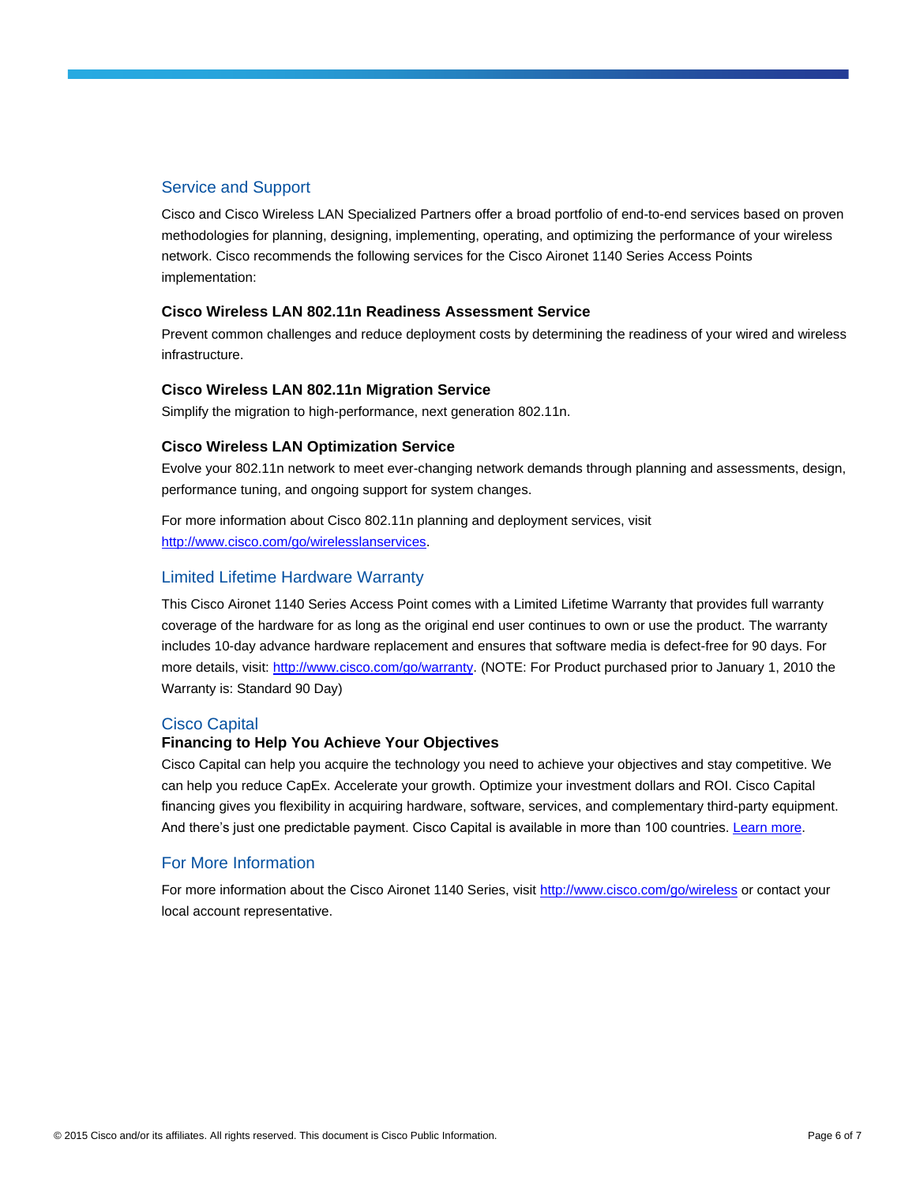## Service and Support

Cisco and Cisco Wireless LAN Specialized Partners offer a broad portfolio of end-to-end services based on proven methodologies for planning, designing, implementing, operating, and optimizing the performance of your wireless network. Cisco recommends the following services for the Cisco Aironet 1140 Series Access Points implementation:

#### **Cisco Wireless LAN 802.11n Readiness Assessment Service**

Prevent common challenges and reduce deployment costs by determining the readiness of your wired and wireless infrastructure.

#### **Cisco Wireless LAN 802.11n Migration Service**

Simplify the migration to high-performance, next generation 802.11n.

#### **Cisco Wireless LAN Optimization Service**

Evolve your 802.11n network to meet ever-changing network demands through planning and assessments, design, performance tuning, and ongoing support for system changes.

For more information about Cisco 802.11n planning and deployment services, visit [http://www.cisco.com/go/wirelesslanservices.](http://www.cisco.com/go/wirelesslanservices)

## Limited Lifetime Hardware Warranty

This Cisco Aironet 1140 Series Access Point comes with a Limited Lifetime Warranty that provides full warranty coverage of the hardware for as long as the original end user continues to own or use the product. The warranty includes 10-day advance hardware replacement and ensures that software media is defect-free for 90 days. For more details, visit[: http://www.cisco.com/go/warranty.](http://www.cisco.com/go/warranty) (NOTE: For Product purchased prior to January 1, 2010 the Warranty is: Standard 90 Day)

## Cisco Capital

## **Financing to Help You Achieve Your Objectives**

Cisco Capital can help you acquire the technology you need to achieve your objectives and stay competitive. We can help you reduce CapEx. Accelerate your growth. Optimize your investment dollars and ROI. Cisco Capital financing gives you flexibility in acquiring hardware, software, services, and complementary third-party equipment. And there's just one predictable payment. Cisco Capital is available in more than 100 countries. [Learn more.](http://www.cisco.com/web/ciscocapital/americas/us/index.html)

## For More Information

For more information about the Cisco Aironet 1140 Series, visit<http://www.cisco.com/go/wireless> or contact your local account representative.